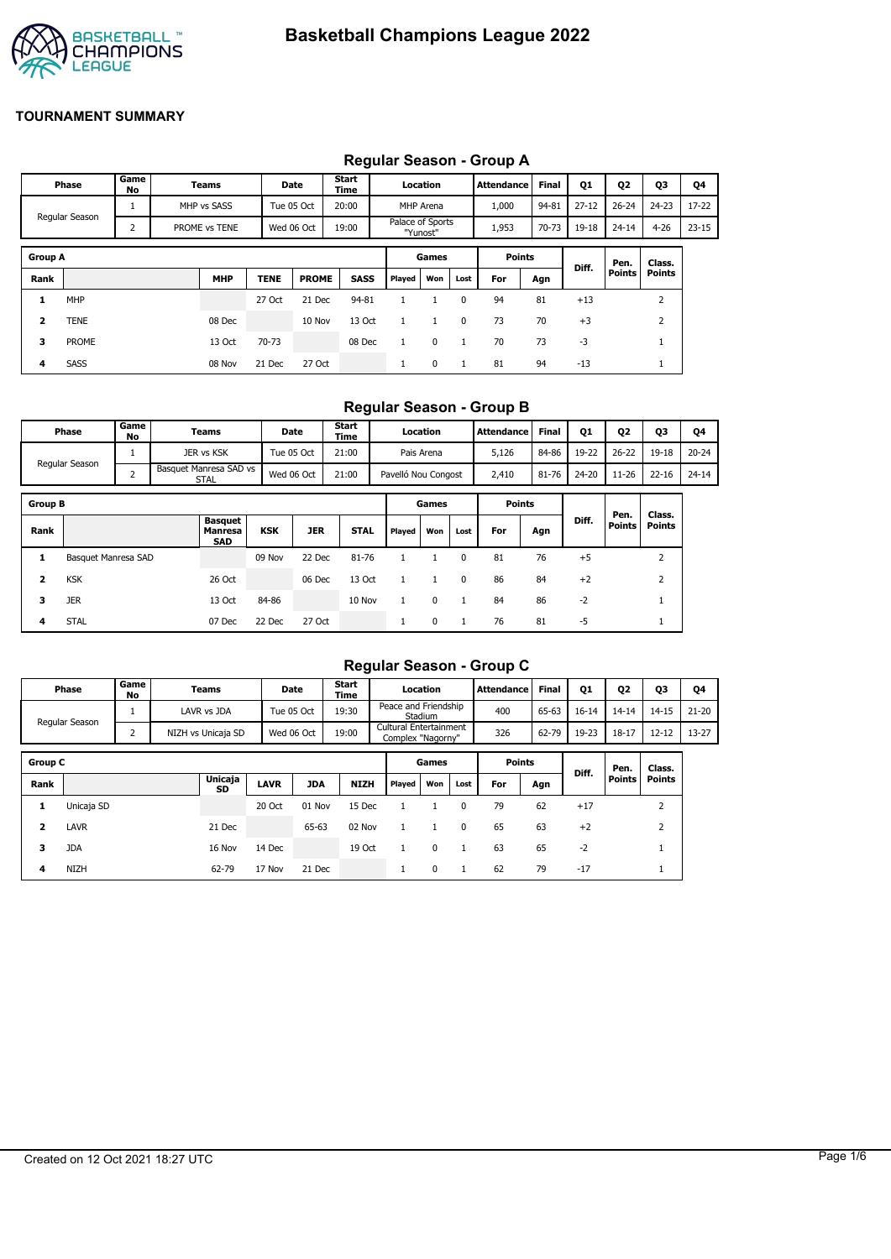

## **Regular Season - Group A**

|                         | Phase          | Game<br>No | Teams         |             | Date         | Start<br>Time |                  | Location  |      | Attendance    | <b>Final</b> | Q1        | Q2        | Q3            | Q4        |
|-------------------------|----------------|------------|---------------|-------------|--------------|---------------|------------------|-----------|------|---------------|--------------|-----------|-----------|---------------|-----------|
|                         |                |            | MHP vs SASS   |             | Tue 05 Oct   | 20:00         |                  | MHP Arena |      | 1,000         | 94-81        | $27 - 12$ | $26 - 24$ | $24 - 23$     | $17 - 22$ |
|                         | Regular Season | 2          | PROME vs TENE |             | Wed 06 Oct   | 19:00         | Palace of Sports | "Yunost"  |      | 1,953         | 70-73        | 19-18     | $24 - 14$ | $4 - 26$      | $23 - 15$ |
| <b>Group A</b>          |                |            |               |             |              |               |                  | Games     |      | <b>Points</b> |              | Diff.     | Pen.      | Class.        |           |
| Rank                    |                |            | <b>MHP</b>    | <b>TENE</b> | <b>PROME</b> | <b>SASS</b>   | Played           | Won       | Lost | For           | Agn          |           | Points    | <b>Points</b> |           |
| 1                       | MHP            |            |               | 27 Oct      | 21 Dec       | 94-81         |                  |           | 0    | 94            | 81           | $+13$     |           | 2             |           |
| $\overline{\mathbf{2}}$ | TENE           |            | 08 Dec        |             | 10 Nov       | 13 Oct        | $\mathbf{1}$     | 1         | 0    | 73            | 70           | $+3$      |           | 2             |           |
| 3                       | <b>PROME</b>   |            | 13 Oct        | 70-73       |              | 08 Dec        |                  | 0         |      | 70            | 73           | -3        |           |               |           |
| 4                       | SASS           |            | 08 Nov        | 21 Dec      | 27 Oct       |               |                  | 0         |      | 81            | 94           | $-13$     |           | <b>T</b>      |           |

### **Regular Season - Group B**

| Phase          | Game<br>No | Teams                          | Date       | Start<br>Time | Location            | <b>Attendance</b> | <b>Final</b> | <b>Q1</b> | <b>Q2</b> | Q3        | 04        |
|----------------|------------|--------------------------------|------------|---------------|---------------------|-------------------|--------------|-----------|-----------|-----------|-----------|
|                |            | JER vs KSK                     | Tue 05 Oct | 21:00         | Pais Arena          | 5,126             | 84-86        | 19-22     | $26 - 22$ | $19 - 18$ | $20 - 24$ |
| Regular Season |            | Basquet Manresa SAD vs<br>STAL | Wed 06 Oct | 21:00         | Pavelló Nou Congost | 2,410             | 81-76        | 24-20     | 11-26     | $22 - 16$ | $24 - 14$ |

| <b>Group B</b> |                     |                                         |            |            |             |        | Games    |      | <b>Points</b> |     |       |                |                         |
|----------------|---------------------|-----------------------------------------|------------|------------|-------------|--------|----------|------|---------------|-----|-------|----------------|-------------------------|
| Rank           |                     | <b>Basquet</b><br>Manresa<br><b>SAD</b> | <b>KSK</b> | <b>JER</b> | <b>STAL</b> | Played | Won      | Lost | For           | Agn | Diff. | Pen.<br>Points | Class.<br><b>Points</b> |
| л.             | Basquet Manresa SAD |                                         | 09 Nov     | 22 Dec     | 81-76       |        |          |      | 81            | 76  | $+5$  |                |                         |
| 2              | <b>KSK</b>          | 26 Oct                                  |            | 06 Dec     | 13 Oct      |        |          | 0    | 86            | 84  | $+2$  |                |                         |
| 3              | <b>JER</b>          | 13 Oct                                  | 84-86      |            | 10 Nov      |        | $\Omega$ |      | 84            | 86  | $-2$  |                |                         |
| 4              | <b>STAL</b>         | 07 Dec                                  | 22 Dec     | 27 Oct     |             |        | 0        |      | 76            | 81  | -5    |                |                         |

## **Regular Season - Group C**

|                |                |            |                    |             |            |               |                                             |          |      | $1.99$ ului 900001. 9.00p 9 |              |           |           |                |           |
|----------------|----------------|------------|--------------------|-------------|------------|---------------|---------------------------------------------|----------|------|-----------------------------|--------------|-----------|-----------|----------------|-----------|
|                | Phase          | Game<br>No | Teams              |             | Date       | Start<br>Time |                                             | Location |      | <b>Attendance</b>           | <b>Final</b> | <b>Q1</b> | 02        | Q3             | Q4        |
|                | Regular Season |            | LAVR vs JDA        |             | Tue 05 Oct | 19:30         | Peace and Friendship                        | Stadium  |      | 400                         | 65-63        | $16 - 14$ | $14 - 14$ | $14 - 15$      | $21 - 20$ |
|                |                | 2          | NIZH vs Unicaja SD |             | Wed 06 Oct | 19:00         | Cultural Entertainment<br>Complex "Nagorny" |          |      | 326                         | 62-79        | 19-23     | $18 - 17$ | $12 - 12$      | $13 - 27$ |
| <b>Group C</b> |                |            |                    |             |            |               |                                             | Games    |      | <b>Points</b>               |              |           | Pen.      | Class.         |           |
| Rank           |                |            | Unicaja<br>SD      | <b>LAVR</b> | <b>JDA</b> | <b>NIZH</b>   | Played                                      | Won      | Lost | For                         | Agn          | Diff.     | Points    | <b>Points</b>  |           |
| 1              | Unicaja SD     |            |                    | 20 Oct      | 01 Nov     | 15 Dec        |                                             |          | 0    | 79                          | 62           | $+17$     |           | 2              |           |
| $\overline{2}$ | <b>LAVR</b>    |            | 21 Dec             |             | 65-63      | 02 Nov        |                                             |          | 0    | 65                          | 63           | $+2$      |           | $\overline{2}$ |           |
| 3              | <b>JDA</b>     |            | 16 Nov             | 14 Dec      |            | 19 Oct        |                                             | $\Omega$ |      | 63                          | 65           | $-2$      |           |                |           |
| 4              | <b>NIZH</b>    |            | 62-79              | 17 Nov      | 21 Dec     |               |                                             | 0        |      | 62                          | 79           | $-17$     |           |                |           |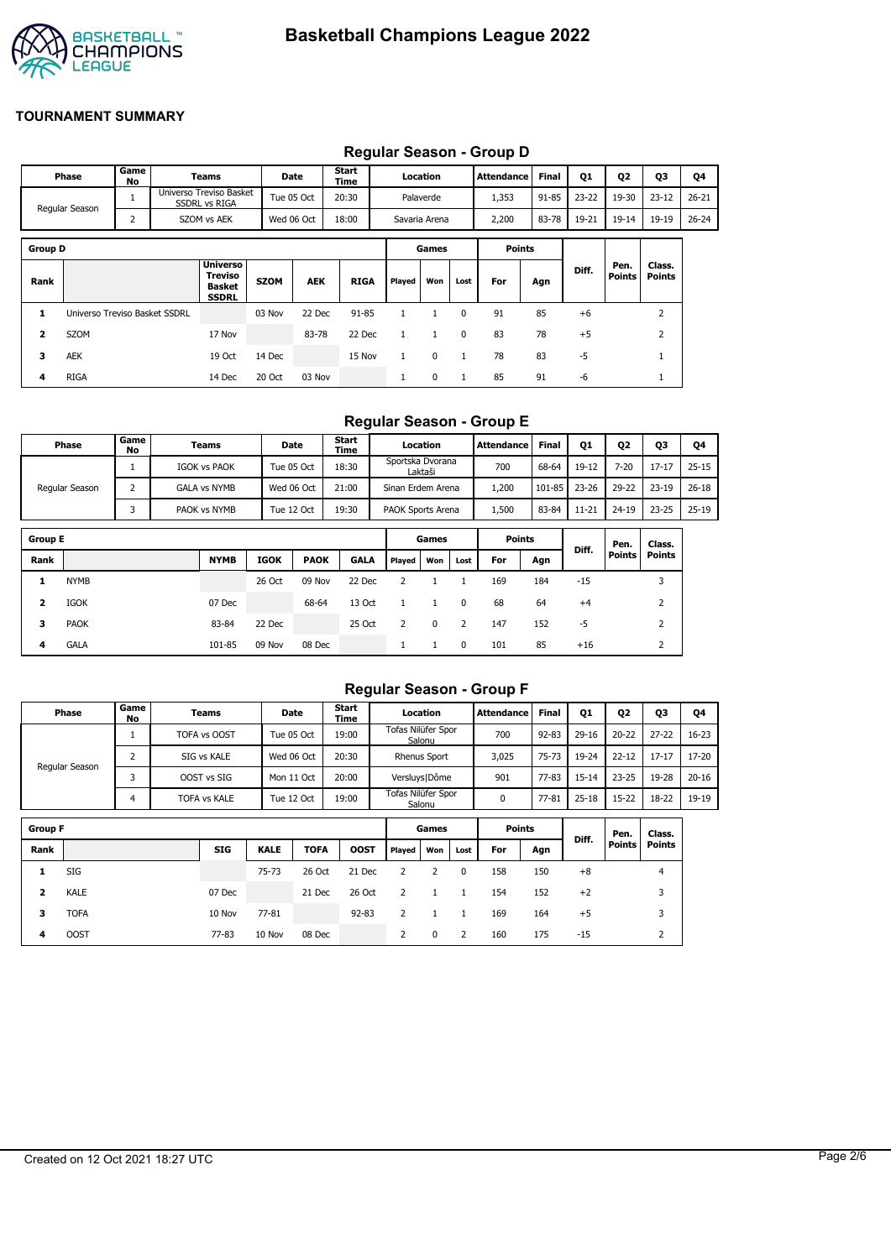

|                |                               |            |                                                 |             |            |               |              |               |              | Requiar Season - Group D |              |           |                |                         |           |
|----------------|-------------------------------|------------|-------------------------------------------------|-------------|------------|---------------|--------------|---------------|--------------|--------------------------|--------------|-----------|----------------|-------------------------|-----------|
|                | Phase                         | Game<br>No | Teams                                           |             | Date       | Start<br>Time |              | Location      |              | <b>Attendance</b>        | <b>Final</b> | Q1        | Q <sub>2</sub> | Q3                      | Q4        |
|                | Regular Season                |            | Universo Treviso Basket<br><b>SSDRL vs RIGA</b> |             | Tue 05 Oct | 20:30         |              | Palaverde     |              | 1,353                    | $91 - 85$    | $23 - 22$ | 19-30          | $23 - 12$               | $26 - 21$ |
|                |                               | 2          | SZOM vs AEK                                     |             | Wed 06 Oct | 18:00         |              | Savaria Arena |              | 2,200                    | 83-78        | 19-21     | $19 - 14$      | 19-19                   | $26 - 24$ |
| <b>Group D</b> |                               |            |                                                 |             |            |               |              | Games         |              | <b>Points</b>            |              |           |                |                         |           |
| Rank           |                               |            | Universo<br>Treviso<br>Basket<br><b>SSDRL</b>   | <b>SZOM</b> | <b>AEK</b> | <b>RIGA</b>   | Played       | Won           | Lost         | For                      | Agn          | Diff.     | Pen.<br>Points | Class.<br><b>Points</b> |           |
| 1              | Universo Treviso Basket SSDRL |            |                                                 | 03 Nov      | 22 Dec     | $91 - 85$     | 1            |               | 0            | 91                       | 85           | $+6$      |                | 2                       |           |
| 2              | SZOM                          |            | 17 Nov                                          |             | 83-78      | 22 Dec        | $\mathbf{1}$ | $\mathbf{1}$  | $\mathbf{0}$ | 83                       | 78           | $+5$      |                | $\overline{2}$          |           |
| з              | <b>AEK</b>                    |            | 19 Oct                                          | 14 Dec      |            | 15 Nov        | $\mathbf{1}$ | 0             | 1            | 78                       | 83           | $-5$      |                |                         |           |
| 4              | <b>RIGA</b>                   |            | 14 Dec                                          | 20 Oct      | 03 Nov     |               | 1            | 0             | 1            | 85                       | 91           | -6        |                | л.                      |           |

## **Regular Season - Group D**

## **Regular Season - Group E**

| Phase          | Game<br>No | Teams               | <b>Date</b> | Start<br>Time | Location                    | Attendance | Final  | Q <sub>1</sub> | Q <sub>2</sub> | Q3        | Q4        |
|----------------|------------|---------------------|-------------|---------------|-----------------------------|------------|--------|----------------|----------------|-----------|-----------|
|                |            | <b>IGOK vs PAOK</b> | Tue 05 Oct  | 18:30         | Sportska Dvorana<br>Laktaši | 700        | 68-64  | 19-12          | $7 - 20$       | $17 - 17$ | $25 - 15$ |
| Regular Season |            | <b>GALA vs NYMB</b> | Wed 06 Oct  | 21:00         | Sinan Erdem Arena           | 1,200      | 101-85 | $23 - 26$      | 29-22          | $23 - 19$ | $26 - 18$ |
|                |            | PAOK vs NYMB        | Tue 12 Oct  | 19:30         | PAOK Sports Arena           | 1.500      | 83-84  | $11 - 21$      | $24 - 19$      | $23 - 25$ | $25 - 19$ |

| <b>Group E</b> |             |             |             |             |             |        | Games |      | <b>Points</b> |     |       | Pen.          | Class.        |
|----------------|-------------|-------------|-------------|-------------|-------------|--------|-------|------|---------------|-----|-------|---------------|---------------|
| Rank           |             | <b>NYMB</b> | <b>IGOK</b> | <b>PAOK</b> | <b>GALA</b> | Played | Won   | Lost | For           | Agn | Diff. | <b>Points</b> | <b>Points</b> |
| ı              | <b>NYMB</b> |             | 26 Oct      | 09 Nov      | 22 Dec      |        |       |      | 169           | 184 | $-15$ |               |               |
| 2              | <b>IGOK</b> | 07 Dec      |             | 68-64       | 13 Oct      |        |       | 0    | 68            | 64  | $+4$  |               |               |
| 3              | <b>PAOK</b> | 83-84       | 22 Dec      |             | 25 Oct      |        | 0     |      | 147           | 152 | -5    |               |               |
| 4              | <b>GALA</b> | 101-85      | 09 Nov      | 08 Dec      |             |        |       | 0    | 101           | 85  | $+16$ |               |               |

## **Regular Season - Group F**

| Phase          | Game I<br>No | Teams               | <b>Date</b> | <b>Start</b><br>Time | Location                     | Attendance | <b>Final</b> | Q1        | Q <sub>2</sub> | Q3        | Q4        |
|----------------|--------------|---------------------|-------------|----------------------|------------------------------|------------|--------------|-----------|----------------|-----------|-----------|
|                |              | TOFA vs OOST        | Tue 05 Oct  | 19:00                | Tofas Nilüfer Spor<br>Salonu | 700        | $92 - 83$    | 29-16     | $20 - 22$      | $27 - 22$ | $16 - 23$ |
|                |              | SIG vs KALE         | Wed 06 Oct  | 20:30                | <b>Rhenus Sport</b>          | 3.025      | $75 - 73$    | 19-24     | $22 - 12$      | $17 - 17$ | $17 - 20$ |
| Regular Season |              | OOST vs SIG         | Mon 11 Oct  | 20:00                | Versluys   Dôme              | 901        | $77 - 83$    | $15 - 14$ | $23 - 25$      | 19-28     | $20 - 16$ |
|                |              | <b>TOFA vs KALE</b> | Tue 12 Oct  | 19:00                | Tofas Nilüfer Spor<br>Salonu | 0          | $77 - 81$    | $25 - 18$ | $15 - 22$      | 18-22     | 19-19     |

| <b>Group F</b> |             |            |             |             |             |        | Games |      | <b>Points</b> |     | Diff. | Pen.          | Class.         |
|----------------|-------------|------------|-------------|-------------|-------------|--------|-------|------|---------------|-----|-------|---------------|----------------|
| Rank           |             | <b>SIG</b> | <b>KALE</b> | <b>TOFA</b> | <b>OOST</b> | Played | Won   | Lost | For           | Agn |       | <b>Points</b> | <b>Points</b>  |
|                | SIG         |            | 75-73       | 26 Oct      | 21 Dec      |        |       | 0    | 158           | 150 | $+8$  |               | 4              |
| 2              | <b>KALE</b> | 07 Dec     |             | 21 Dec      | 26 Oct      |        |       |      | 154           | 152 | $+2$  |               | 3              |
| 3              | <b>TOFA</b> | 10 Nov     | 77-81       |             | $92 - 83$   |        |       |      | 169           | 164 | $+5$  |               | 3              |
| 4              | <b>OOST</b> | 77-83      | 10 Nov      | 08 Dec      |             | 2      | 0     | 2    | 160           | 175 | $-15$ |               | $\overline{ }$ |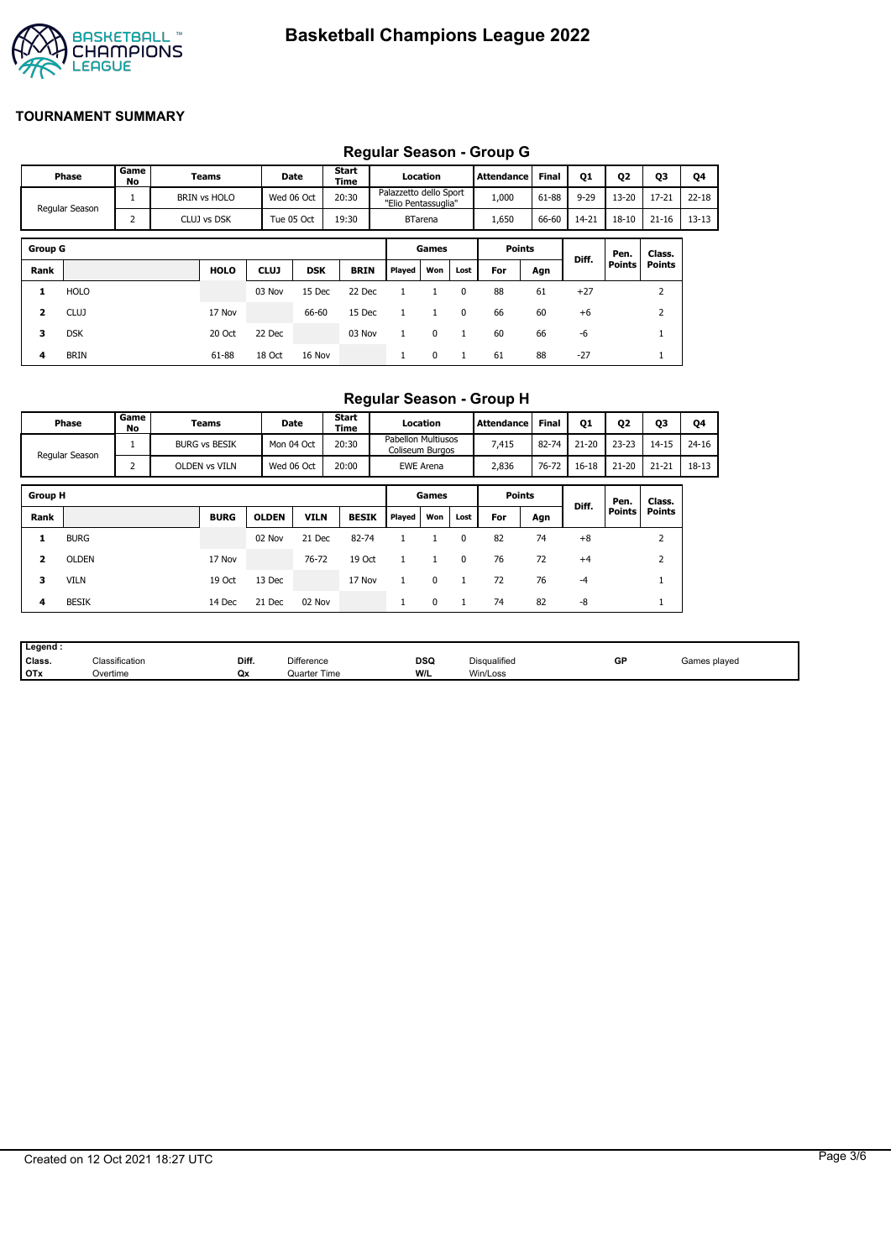

# **Regular Season - Group G**

|                |                |            |                     |             |            |               |                                               |                |              | Regular Ocason - Oroup O |              |          |               |               |           |
|----------------|----------------|------------|---------------------|-------------|------------|---------------|-----------------------------------------------|----------------|--------------|--------------------------|--------------|----------|---------------|---------------|-----------|
|                | Phase          | Game<br>No | Teams               |             | Date       | Start<br>Time |                                               | Location       |              | <b>Attendance</b>        | <b>Final</b> | Q1       | Q2            | <b>Q3</b>     | Q4        |
|                | Regular Season | 1          | <b>BRIN vs HOLO</b> |             | Wed 06 Oct | 20:30         | Palazzetto dello Sport<br>"Elio Pentassuglia" |                |              | 1,000                    | 61-88        | $9 - 29$ | $13 - 20$     | $17 - 21$     | $22 - 18$ |
|                |                | 2          | CLUJ vs DSK         |             | Tue 05 Oct | 19:30         |                                               | <b>BTarena</b> |              | 1,650                    | 66-60        | 14-21    | $18 - 10$     | $21 - 16$     | $13 - 13$ |
|                |                |            |                     |             |            |               |                                               |                |              |                          |              |          |               |               |           |
| <b>Group G</b> |                |            |                     |             |            |               |                                               | Games          |              | <b>Points</b>            |              | Diff.    | Pen.          | Class.        |           |
| Rank           |                |            | <b>HOLO</b>         | <b>CLUJ</b> | <b>DSK</b> | <b>BRIN</b>   | Played                                        | Won            | Lost         | For                      | Agn          |          | <b>Points</b> | <b>Points</b> |           |
| 1              | <b>HOLO</b>    |            |                     | 03 Nov      | 15 Dec     | 22 Dec        |                                               |                | $\Omega$     | 88                       | 61           | $+27$    |               | 2             |           |
| 2              | <b>CLUJ</b>    |            | 17 Nov              |             | 66-60      | 15 Dec        |                                               |                | 0            | 66                       | 60           | $+6$     |               | 2             |           |
| 3              | <b>DSK</b>     |            | 20 Oct              | 22 Dec      |            | 03 Nov        |                                               | $\mathbf 0$    | $\mathbf{1}$ | 60                       | 66           | $-6$     |               |               |           |
| 4              | <b>BRIN</b>    |            | 61-88               | 18 Oct      | 16 Nov     |               |                                               | 0              | 1            | 61                       | 88           | $-27$    |               |               |           |

## **Regular Season - Group H**

|                         | Phase          | Game<br>No | Teams                | Date         |             | <b>Start</b><br>Time |                                              | Location         |          | Attendance    | <b>Final</b> | Q1        | Q <sub>2</sub> | Q3            | Q4        |
|-------------------------|----------------|------------|----------------------|--------------|-------------|----------------------|----------------------------------------------|------------------|----------|---------------|--------------|-----------|----------------|---------------|-----------|
|                         | Regular Season |            | <b>BURG vs BESIK</b> | Mon 04 Oct   |             | 20:30                | <b>Pabellon Multiusos</b><br>Coliseum Burgos |                  |          | 7,415         | 82-74        | $21 - 20$ | $23 - 23$      | $14 - 15$     | $24 - 16$ |
|                         |                | 2          | OLDEN vs VILN        | Wed 06 Oct   |             | 20:00                |                                              | <b>EWE Arena</b> |          | 2,836         | 76-72        | $16 - 18$ | $21 - 20$      | $21 - 21$     | 18-13     |
| <b>Group H</b>          |                |            |                      |              |             |                      |                                              | Games            |          | <b>Points</b> |              |           | Pen.           | Class.        |           |
| Rank                    |                |            | <b>BURG</b>          | <b>OLDEN</b> | <b>VILN</b> | <b>BESIK</b>         | Played                                       | Won              | Lost     | For           | Agn          | Diff.     | Points         | <b>Points</b> |           |
| 1                       | <b>BURG</b>    |            |                      | 02 Nov       | 21 Dec      | 82-74                |                                              |                  | $\Omega$ | 82            | 74           | $+8$      |                | 2             |           |
| $\overline{\mathbf{2}}$ | <b>OLDEN</b>   |            | 17 Nov               |              | 76-72       | 19 Oct               |                                              |                  | $\Omega$ | 76            | 72           | $+4$      |                | 2             |           |
| з                       | <b>VILN</b>    |            | 19 Oct               | 13 Dec       |             | 17 Nov               |                                              | $\Omega$         |          | 72            | 76           | $-4$      |                |               |           |
| 4                       | <b>BESIK</b>   |            | 14 Dec               | 21 Dec       | 02 Nov      |                      | л.                                           | 0                |          | 74            | 82           | -8        |                | <b>T</b>      |           |

| Legend:    |                            |       |                     |                    |              |    |              |
|------------|----------------------------|-------|---------------------|--------------------|--------------|----|--------------|
| Class.     | <sup>∽เ</sup> assification | Diff. | <b>Difference</b>   | <b>DSQ</b><br>$ -$ | Disqualified | GP | Games played |
| <b>OTx</b> | Overtime                   | Qx    | <b>Quarter Time</b> | W/L                | Win/Loss     |    |              |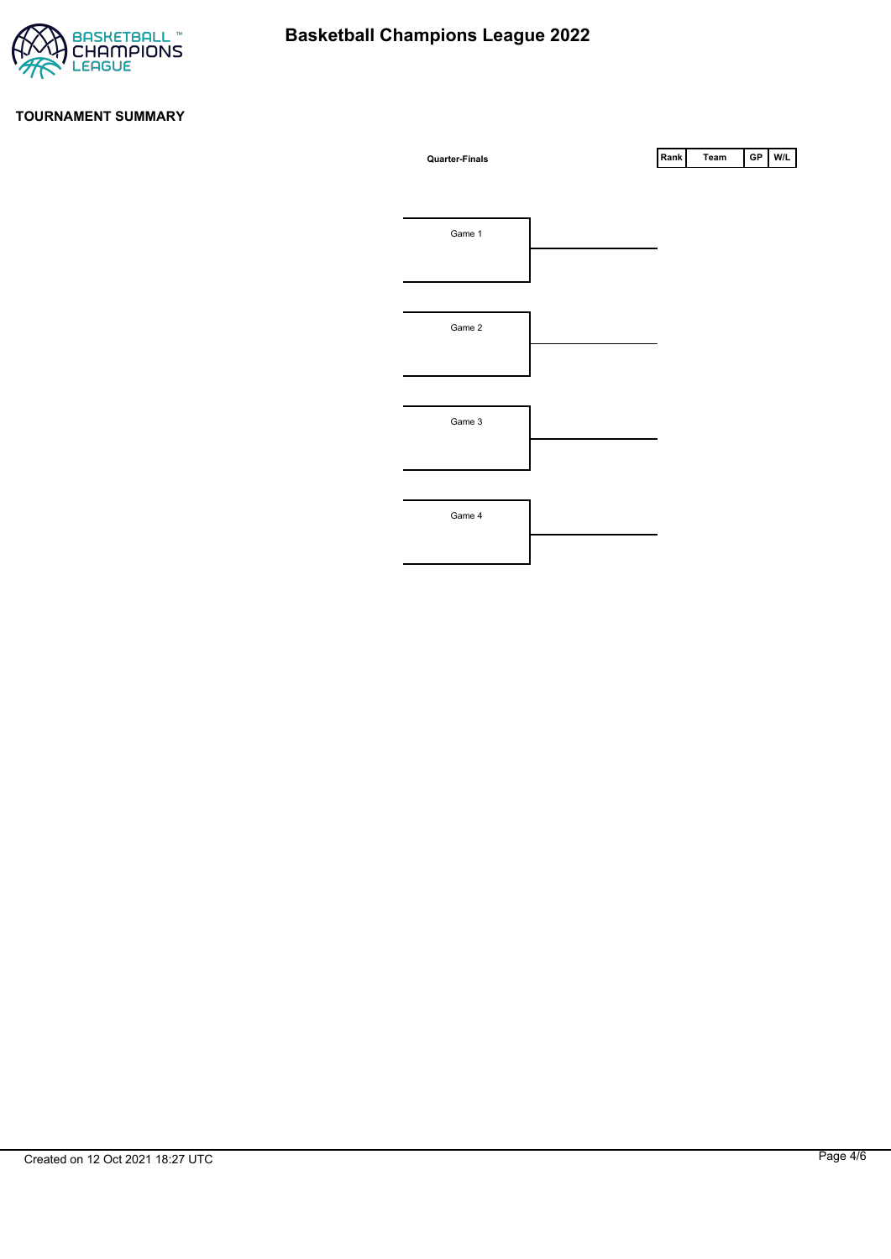

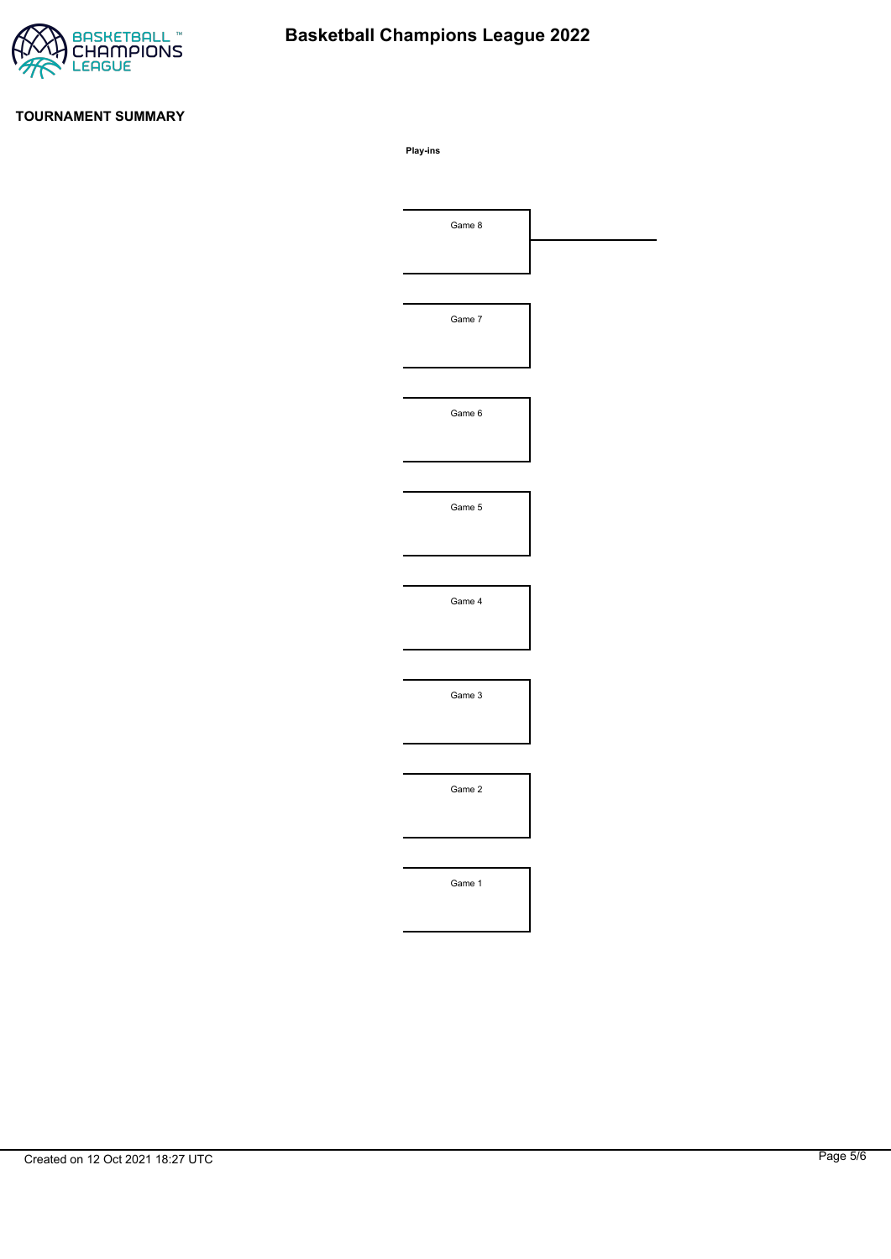

# **Basketball Champions League 2022**

#### **TOURNAMENT SUMMARY**

**Play-ins**

| Game 8 |  |
|--------|--|
|        |  |
|        |  |
| Game 7 |  |
|        |  |
|        |  |
| Game 6 |  |
|        |  |
|        |  |
| Game 5 |  |
|        |  |
|        |  |
| Game 4 |  |
|        |  |
|        |  |
| Game 3 |  |
|        |  |
|        |  |
|        |  |
| Game 2 |  |
|        |  |
|        |  |
| Game 1 |  |
|        |  |
|        |  |